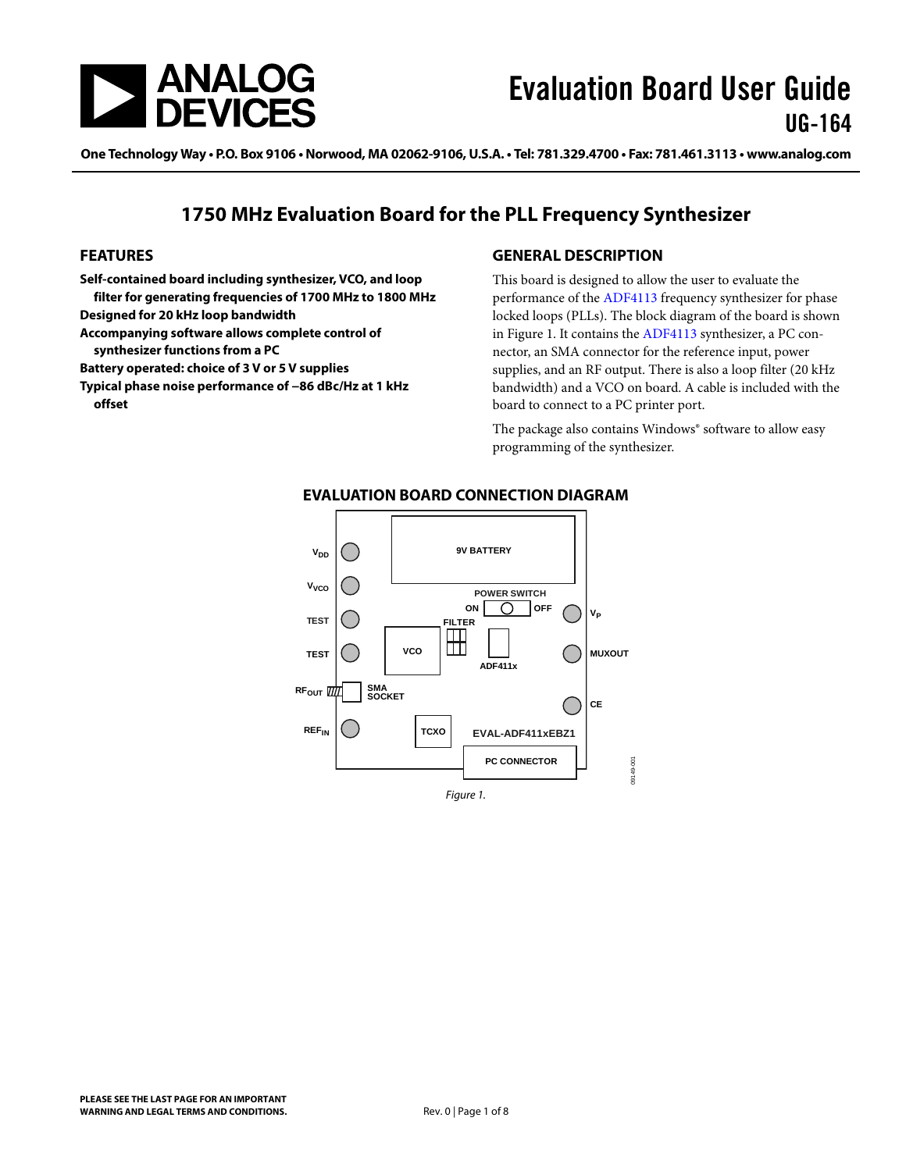<span id="page-0-0"></span>

One Technology Way • P.O. Box 9106 • Norwood, MA 02062-9106, U.S.A. • Tel: 781.329.4700 • Fax: 781.461.3113 • www.analog.com

## **1750 MHz Evaluation Board for the PLL Frequency Synthesizer**

#### **FEATURES**

**Self-contained board including synthesizer, VCO, and loop filter for generating frequencies of 1700 MHz to 1800 MHz** 

**Designed for 20 kHz loop bandwidth** 

- **Accompanying software allows complete control of synthesizer functions from a PC**
- **Battery operated: choice of 3 V or 5 V supplies**

**Typical phase noise performance of −86 dBc/Hz at 1 kHz offset** 

### **GENERAL DESCRIPTION**

This board is designed to allow the user to evaluate the performance of the [ADF4113](http://www.analog.com/adf4113) frequency synthesizer for phase locked loops (PLLs). The block diagram of the board is shown in Figure 1. It contains the [ADF4113](http://www.analog.com/adf4113) synthesizer, a PC connector, an SMA connector for the reference input, power supplies, and an RF output. There is also a loop filter (20 kHz bandwidth) and a VCO on board. A cable is included with the board to connect to a PC printer port.

The package also contains Windows® software to allow easy programming of the synthesizer.



#### **EVALUATION BOARD CONNECTION DIAGRAM**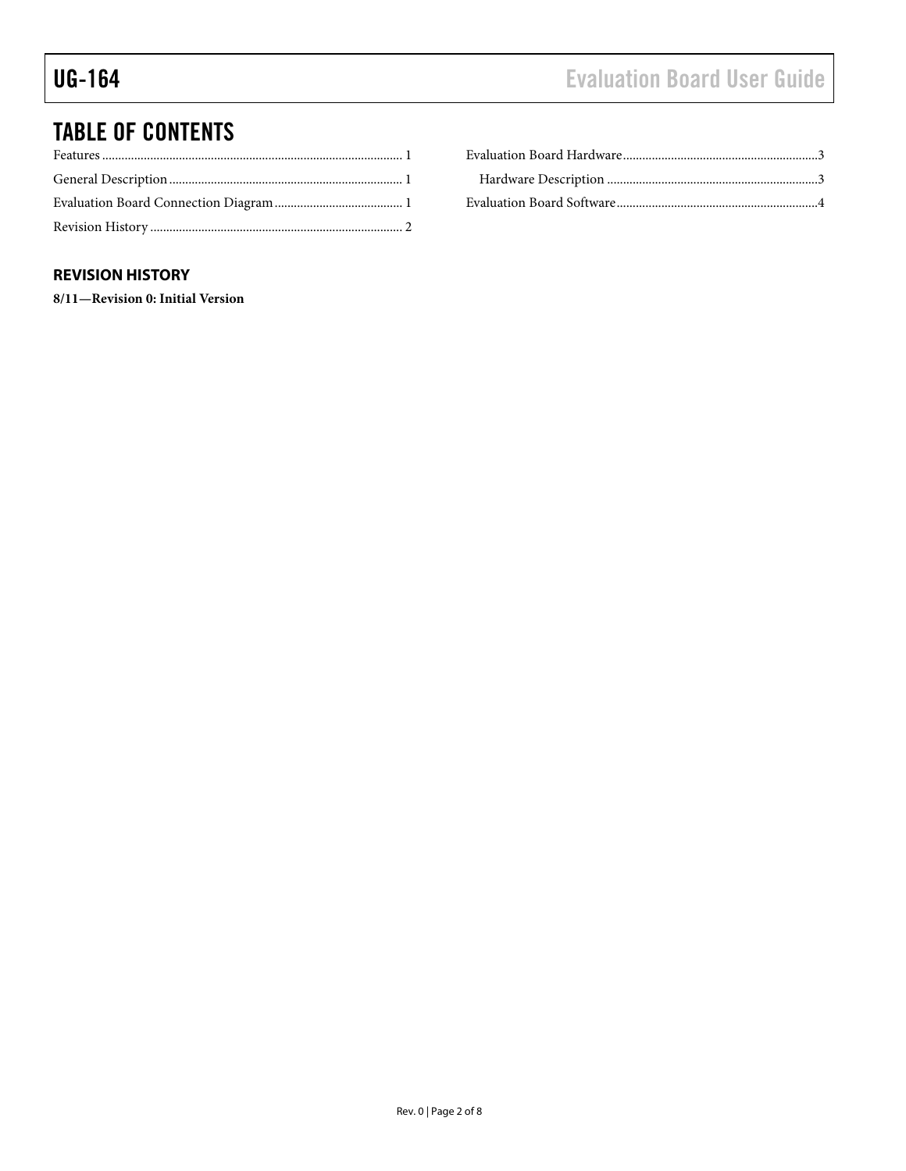# <span id="page-1-0"></span>TABLE OF CONTENTS

### **REVISION HISTORY**

**8/11—Revision 0: Initial Version**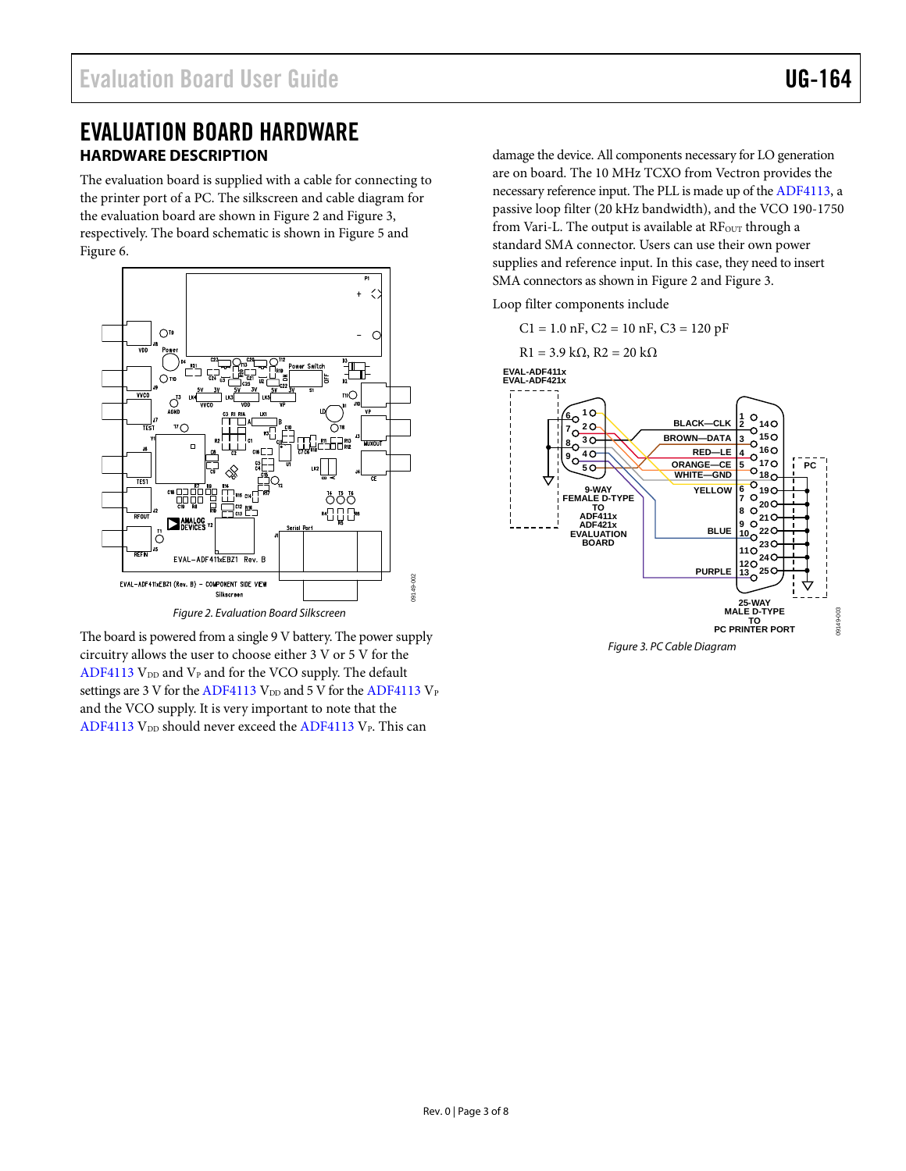## <span id="page-2-0"></span>EVALUATION BOARD HARDWARE **HARDWARE DESCRIPTION**

The evaluation board is supplied with a cable for connecting to the printer port of a PC. The silkscreen and cable diagram for the evaluation board are shown in [Figure 2](#page-2-1) and [Figure 3](#page-2-2), respectively. The board schematic is shown in [Figure 5](#page-4-0) and [Figure 6](#page-5-0).



Figure 2. Evaluation Board Silkscreen

<span id="page-2-2"></span><span id="page-2-1"></span>The board is powered from a single 9 V battery. The power supply circuitry allows the user to choose either 3 V or 5 V for the [ADF4113](http://www.analog.com/adf4113)  $V_{DD}$  and  $V_{P}$  and for the VCO supply. The default settings are 3 V for the [ADF4113](http://www.analog.com/adf4113)  $V_{DD}$  and 5 V for the [ADF4113](http://www.analog.com/adf4113)  $V_{P}$ and the VCO supply. It is very important to note that the [ADF4113](http://www.analog.com/adf4113)  $V_{DD}$  should never exceed the ADF4113  $V_{P}$ . This can

damage the device. All components necessary for LO generation are on board. The 10 MHz TCXO from Vectron provides the necessary reference input. The PLL is made up of the [ADF4113](http://www.analog.com/adf4113), a passive loop filter (20 kHz bandwidth), and the VCO 190-1750 from Vari-L. The output is available at RF<sub>OUT</sub> through a standard SMA connector. Users can use their own power supplies and reference input. In this case, they need to insert SMA connectors as shown in [Figure 2](#page-2-1) and [Figure 3](#page-2-2).

Loop filter components include



Figure 3. PC Cable Diagram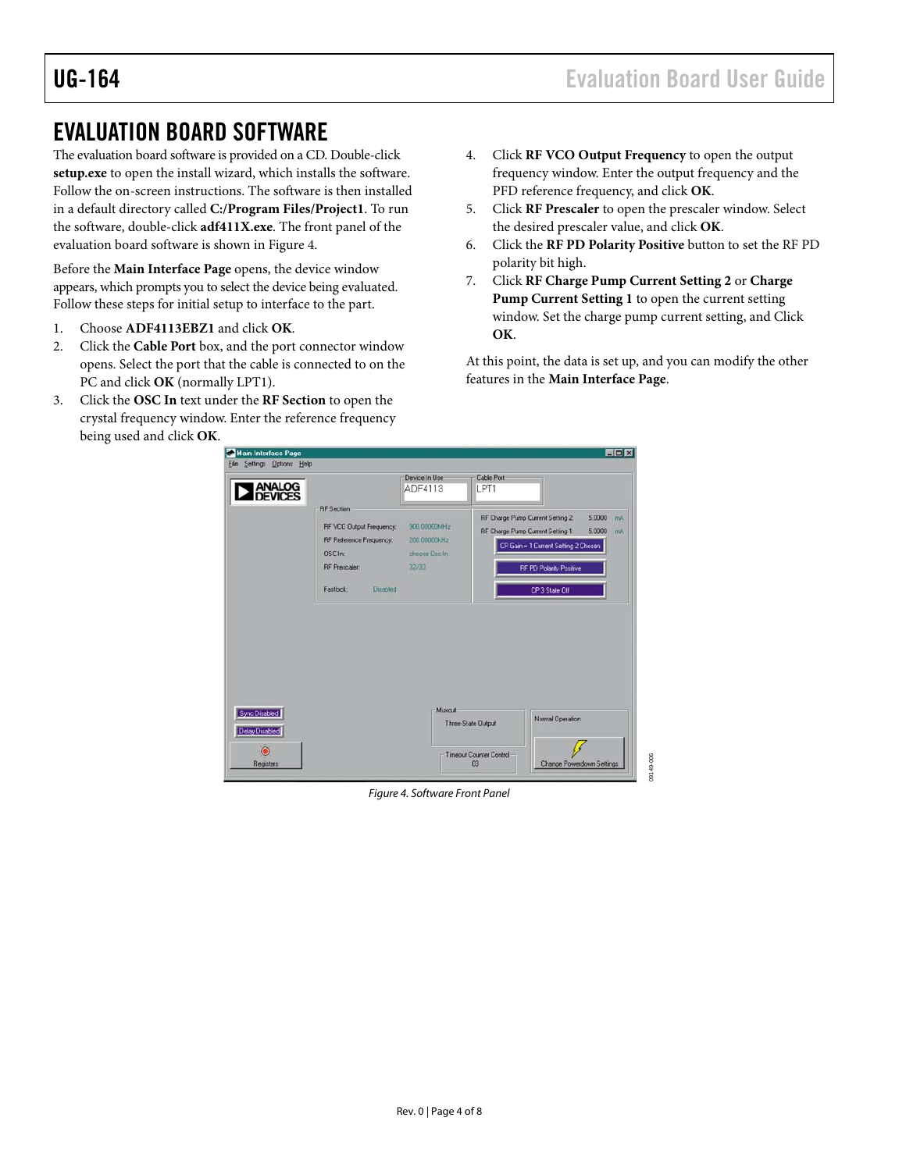## <span id="page-3-0"></span>EVALUATION BOARD SOFTWARE

The evaluation board software is provided on a CD. Double-click **setup.exe** to open the install wizard, which installs the software. Follow the on-screen instructions. The software is then installed in a default directory called **C:/Program Files/Project1**. To run the software, double-click **adf411X.exe**. The front panel of the evaluation board software is shown in [Figure 4](#page-3-1).

Before the **Main Interface Page** opens, the device window appears, which prompts you to select the device being evaluated. Follow these steps for initial setup to interface to the part.

- 1. Choose **ADF4113EBZ1** and click **OK**.
- 2. Click the **Cable Port** box, and the port connector window opens. Select the port that the cable is connected to on the PC and click **OK** (normally LPT1).
- 3. Click the **OSC In** text under the **RF Section** to open the crystal frequency window. Enter the reference frequency being used and click **OK**.
- 4. Click **RF VCO Output Frequency** to open the output frequency window. Enter the output frequency and the PFD reference frequency, and click **OK**.
- 5. Click **RF Prescaler** to open the prescaler window. Select the desired prescaler value, and click **OK**.
- 6. Click the **RF PD Polarity Positive** button to set the RF PD polarity bit high.
- 7. Click **RF Charge Pump Current Setting 2** or **Charge Pump Current Setting 1** to open the current setting window. Set the charge pump current setting, and Click **OK**.

At this point, the data is set up, and you can modify the other features in the **Main Interface Page**.

09149-006



<span id="page-3-1"></span>Figure 4. Software Front Panel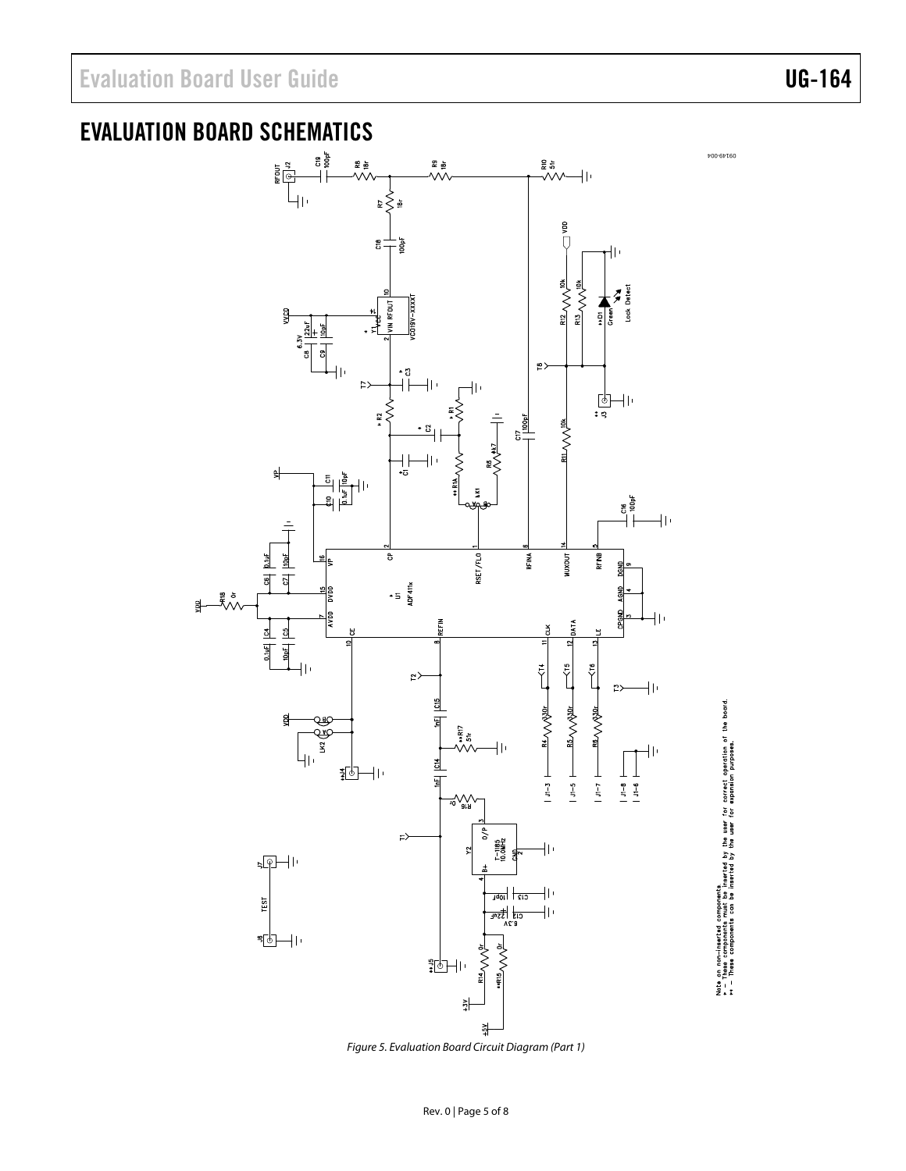09149-004

Note on non-imeerted components.<br>• The structure of the structure of the structure of the street operation of the board.<br>• - These components can be inserted by the user for expansion purposes.

# EVALUATION BOARD SCHEMATICS



<span id="page-4-0"></span>Figure 5. Evaluation Board Circuit Diagram (Part 1)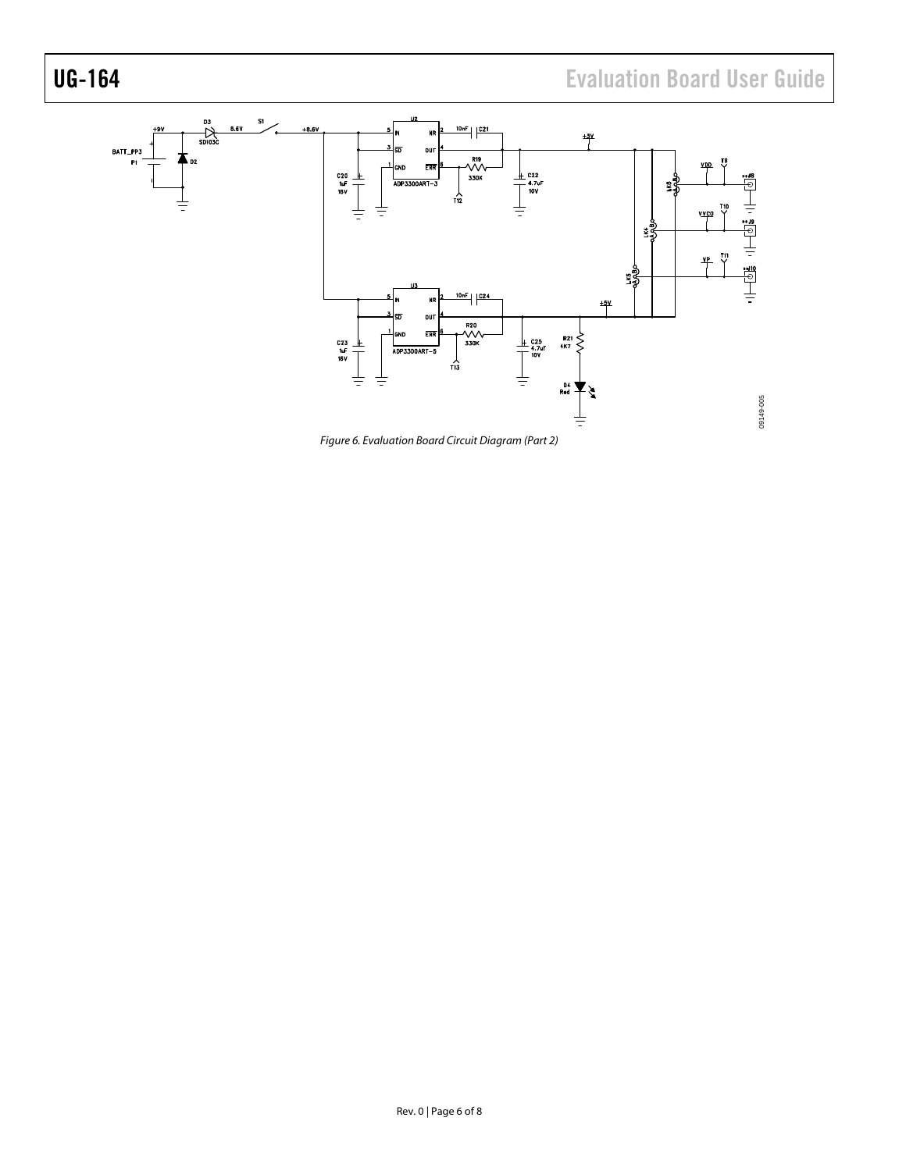# UG-164 Evaluation Board User Guide



<span id="page-5-0"></span>Figure 6. Evaluation Board Circuit Diagram (Part 2)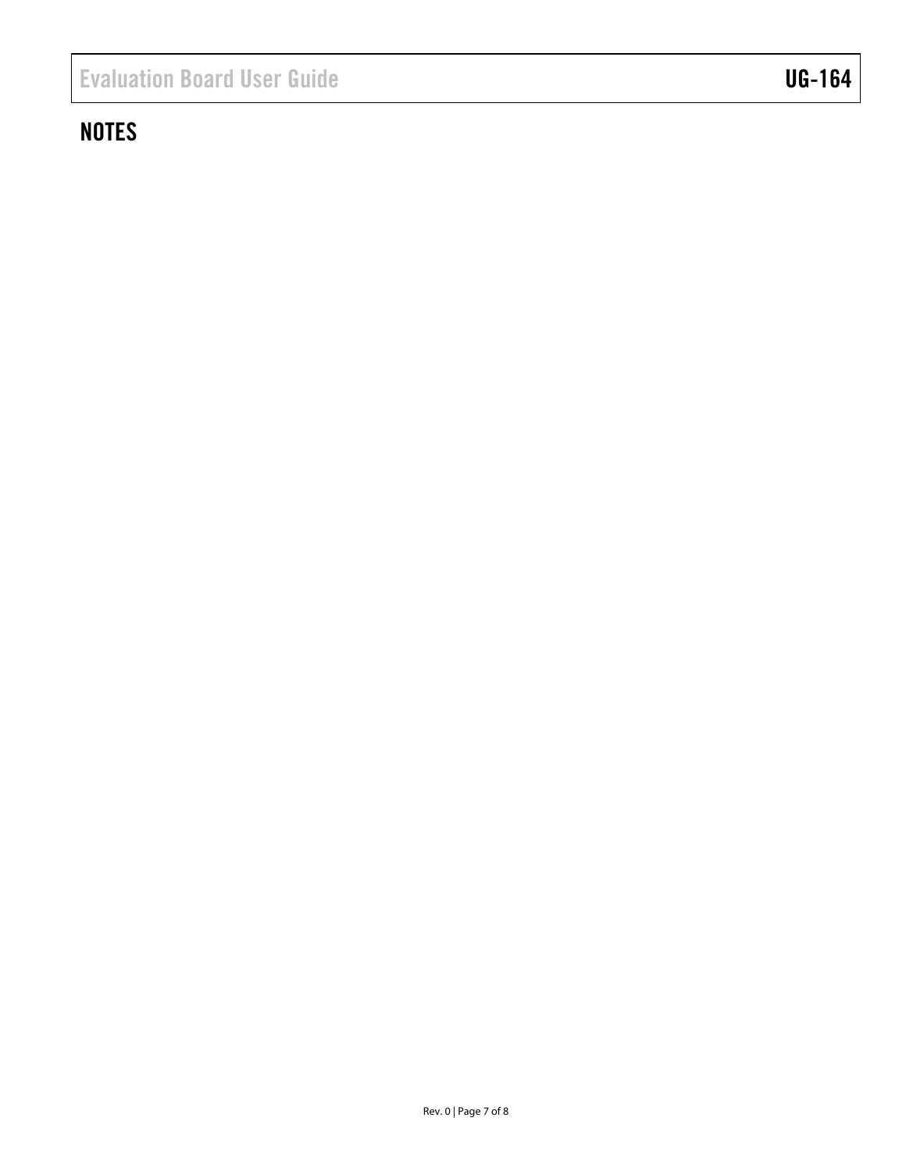# **NOTES**